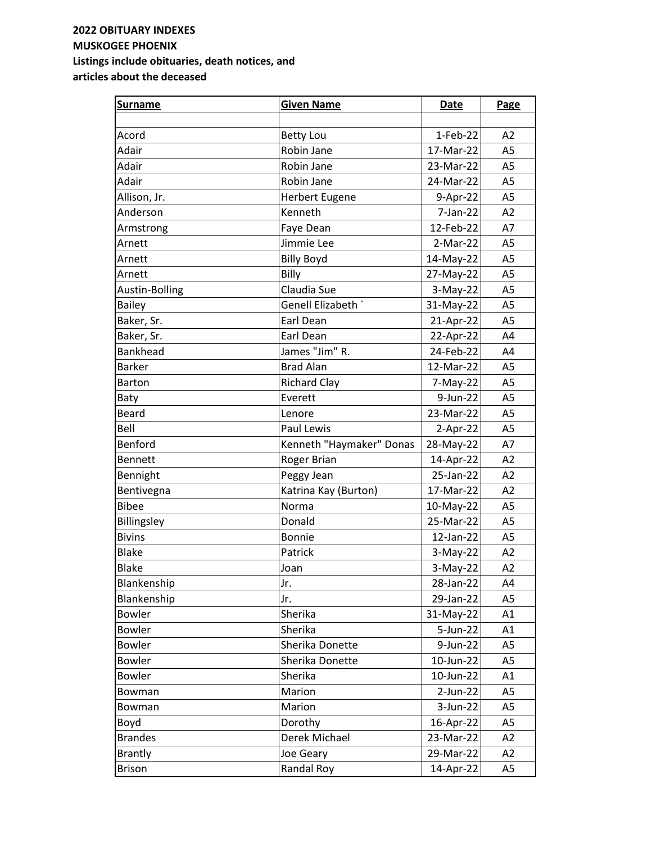| <b>Surname</b>  | <b>Given Name</b>        | <b>Date</b> | Page           |
|-----------------|--------------------------|-------------|----------------|
|                 |                          |             |                |
| Acord           | <b>Betty Lou</b>         | 1-Feb-22    | A2             |
| Adair           | Robin Jane               | 17-Mar-22   | A <sub>5</sub> |
| Adair           | Robin Jane               | 23-Mar-22   | A <sub>5</sub> |
| Adair           | Robin Jane               | 24-Mar-22   | A <sub>5</sub> |
| Allison, Jr.    | <b>Herbert Eugene</b>    | 9-Apr-22    | A <sub>5</sub> |
| Anderson        | Kenneth                  | 7-Jan-22    | A2             |
| Armstrong       | Faye Dean                | 12-Feb-22   | A7             |
| Arnett          | Jimmie Lee               | $2-Mar-22$  | A <sub>5</sub> |
| Arnett          | <b>Billy Boyd</b>        | 14-May-22   | A <sub>5</sub> |
| Arnett          | Billy                    | 27-May-22   | A <sub>5</sub> |
| Austin-Bolling  | Claudia Sue              | 3-May-22    | A <sub>5</sub> |
| <b>Bailey</b>   | Genell Elizabeth `       | 31-May-22   | A <sub>5</sub> |
| Baker, Sr.      | Earl Dean                | 21-Apr-22   | A <sub>5</sub> |
| Baker, Sr.      | Earl Dean                | 22-Apr-22   | A4             |
| <b>Bankhead</b> | James "Jim" R.           | 24-Feb-22   | A4             |
| <b>Barker</b>   | <b>Brad Alan</b>         | 12-Mar-22   | A <sub>5</sub> |
| <b>Barton</b>   | <b>Richard Clay</b>      | 7-May-22    | A <sub>5</sub> |
| Baty            | Everett                  | 9-Jun-22    | A <sub>5</sub> |
| <b>Beard</b>    | Lenore                   | 23-Mar-22   | A <sub>5</sub> |
| Bell            | Paul Lewis               | $2-Apr-22$  | A <sub>5</sub> |
| Benford         | Kenneth "Haymaker" Donas | 28-May-22   | A7             |
| <b>Bennett</b>  | Roger Brian              | 14-Apr-22   | A2             |
| Bennight        | Peggy Jean               | 25-Jan-22   | A2             |
| Bentivegna      | Katrina Kay (Burton)     | 17-Mar-22   | A2             |
| <b>Bibee</b>    | Norma                    | 10-May-22   | A <sub>5</sub> |
| Billingsley     | Donald                   | 25-Mar-22   | A <sub>5</sub> |
| <b>Bivins</b>   | <b>Bonnie</b>            | 12-Jan-22   | A <sub>5</sub> |
| <b>Blake</b>    | Patrick                  | $3-May-22$  | A2             |
| <b>Blake</b>    | Joan                     | $3-May-22$  | A2             |
| Blankenship     | Jr.                      | 28-Jan-22   | A4             |
| Blankenship     | Jr.                      | 29-Jan-22   | A <sub>5</sub> |
| <b>Bowler</b>   | Sherika                  | 31-May-22   | A1             |
| <b>Bowler</b>   | Sherika                  | 5-Jun-22    | A1             |
| <b>Bowler</b>   | Sherika Donette          | 9-Jun-22    | A <sub>5</sub> |
| <b>Bowler</b>   | Sherika Donette          | 10-Jun-22   | A <sub>5</sub> |
| <b>Bowler</b>   | Sherika                  | 10-Jun-22   | A1             |
| Bowman          | Marion                   | $2-Jun-22$  | A <sub>5</sub> |
| Bowman          | Marion                   | $3-Jun-22$  | A <sub>5</sub> |
| Boyd            | Dorothy                  | 16-Apr-22   | A <sub>5</sub> |
| <b>Brandes</b>  | Derek Michael            | 23-Mar-22   | A2             |
| <b>Brantly</b>  | Joe Geary                | 29-Mar-22   | A2             |
| <b>Brison</b>   | Randal Roy               | 14-Apr-22   | A <sub>5</sub> |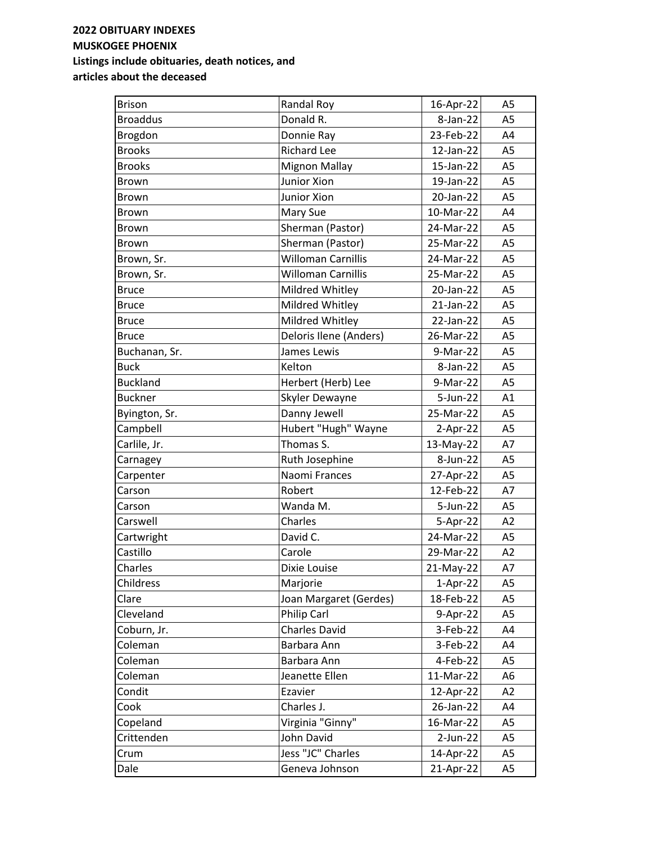| <b>Brison</b>   | Randal Roy                | 16-Apr-22    | A5             |
|-----------------|---------------------------|--------------|----------------|
| <b>Broaddus</b> | Donald R.                 | 8-Jan-22     | A <sub>5</sub> |
| Brogdon         | Donnie Ray                | 23-Feb-22    | A4             |
| <b>Brooks</b>   | <b>Richard Lee</b>        | 12-Jan-22    | A <sub>5</sub> |
| <b>Brooks</b>   | <b>Mignon Mallay</b>      | 15-Jan-22    | A <sub>5</sub> |
| Brown           | Junior Xion               | 19-Jan-22    | A <sub>5</sub> |
| <b>Brown</b>    | Junior Xion               | 20-Jan-22    | A <sub>5</sub> |
| Brown           | Mary Sue                  | 10-Mar-22    | A4             |
| <b>Brown</b>    | Sherman (Pastor)          | 24-Mar-22    | A <sub>5</sub> |
| <b>Brown</b>    | Sherman (Pastor)          | 25-Mar-22    | A <sub>5</sub> |
| Brown, Sr.      | <b>Willoman Carnillis</b> | 24-Mar-22    | A <sub>5</sub> |
| Brown, Sr.      | <b>Willoman Carnillis</b> | 25-Mar-22    | A <sub>5</sub> |
| <b>Bruce</b>    | Mildred Whitley           | 20-Jan-22    | A <sub>5</sub> |
| <b>Bruce</b>    | Mildred Whitley           | $21$ -Jan-22 | A <sub>5</sub> |
| <b>Bruce</b>    | Mildred Whitley           | 22-Jan-22    | A <sub>5</sub> |
| <b>Bruce</b>    | Deloris Ilene (Anders)    | 26-Mar-22    | A <sub>5</sub> |
| Buchanan, Sr.   | James Lewis               | 9-Mar-22     | A <sub>5</sub> |
| <b>Buck</b>     | Kelton                    | 8-Jan-22     | A <sub>5</sub> |
| <b>Buckland</b> | Herbert (Herb) Lee        | 9-Mar-22     | A <sub>5</sub> |
| <b>Buckner</b>  | Skyler Dewayne            | 5-Jun-22     | A1             |
| Byington, Sr.   | Danny Jewell              | 25-Mar-22    | A <sub>5</sub> |
| Campbell        | Hubert "Hugh" Wayne       | $2-Apr-22$   | A <sub>5</sub> |
| Carlile, Jr.    | Thomas S.                 | 13-May-22    | A7             |
| Carnagey        | Ruth Josephine            | 8-Jun-22     | A <sub>5</sub> |
| Carpenter       | Naomi Frances             | 27-Apr-22    | A <sub>5</sub> |
| Carson          | Robert                    | 12-Feb-22    | A7             |
| Carson          | Wanda M.                  | 5-Jun-22     | A <sub>5</sub> |
| Carswell        | Charles                   | 5-Apr-22     | A2             |
| Cartwright      | David C.                  | 24-Mar-22    | A <sub>5</sub> |
| Castillo        | Carole                    | 29-Mar-22    | A2             |
| Charles         | Dixie Louise              | 21-May-22    | A7             |
| Childress       | Marjorie                  | $1-Apr-22$   | A5             |
| Clare           | Joan Margaret (Gerdes)    | 18-Feb-22    | A <sub>5</sub> |
| Cleveland       | Philip Carl               | 9-Apr-22     | A5             |
| Coburn, Jr.     | <b>Charles David</b>      | 3-Feb-22     | A4             |
| Coleman         | Barbara Ann               | 3-Feb-22     | A4             |
| Coleman         | Barbara Ann               | 4-Feb-22     | A5             |
| Coleman         | Jeanette Ellen            | 11-Mar-22    | A6             |
| Condit          | Ezavier                   | 12-Apr-22    | A2             |
| Cook            | Charles J.                | 26-Jan-22    | A4             |
| Copeland        | Virginia "Ginny"          | 16-Mar-22    | A5             |
| Crittenden      | John David                | $2$ -Jun-22  | A5             |
| Crum            | Jess "JC" Charles         | 14-Apr-22    | A5             |
| Dale            | Geneva Johnson            | 21-Apr-22    | A5             |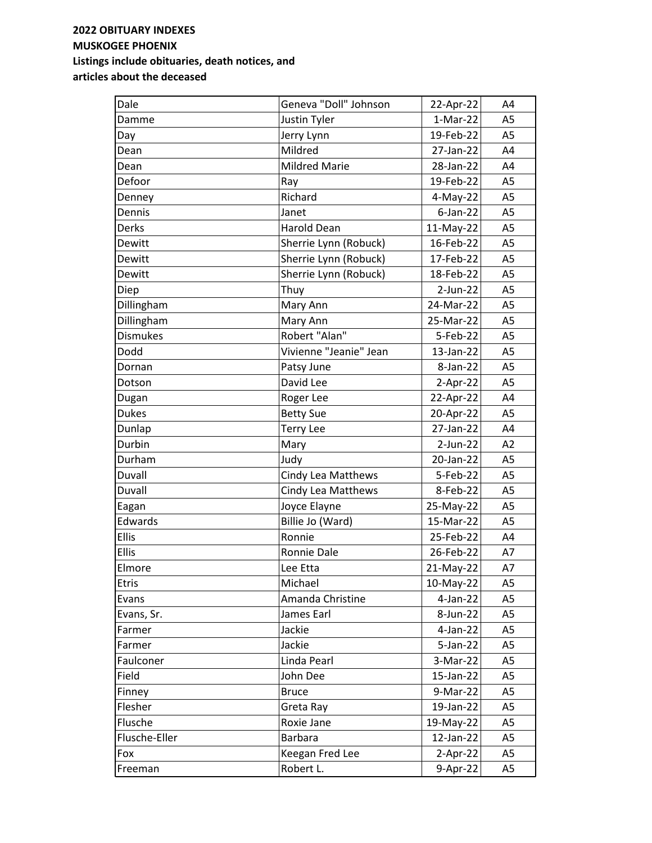| Dale            | Geneva "Doll" Johnson  | 22-Apr-22   | A4             |
|-----------------|------------------------|-------------|----------------|
| Damme           | Justin Tyler           | $1-Mar-22$  | A <sub>5</sub> |
| Day             | Jerry Lynn             | 19-Feb-22   | A <sub>5</sub> |
| Dean            | Mildred                | 27-Jan-22   | A4             |
| Dean            | <b>Mildred Marie</b>   | 28-Jan-22   | A4             |
| Defoor          | Ray                    | 19-Feb-22   | A <sub>5</sub> |
| Denney          | Richard                | $4-May-22$  | A <sub>5</sub> |
| Dennis          | Janet                  | $6$ -Jan-22 | A <sub>5</sub> |
| Derks           | Harold Dean            | 11-May-22   | A <sub>5</sub> |
| Dewitt          | Sherrie Lynn (Robuck)  | 16-Feb-22   | A <sub>5</sub> |
| Dewitt          | Sherrie Lynn (Robuck)  | 17-Feb-22   | A <sub>5</sub> |
| Dewitt          | Sherrie Lynn (Robuck)  | 18-Feb-22   | A <sub>5</sub> |
| Diep            | Thuy                   | $2$ -Jun-22 | A <sub>5</sub> |
| Dillingham      | Mary Ann               | 24-Mar-22   | A <sub>5</sub> |
| Dillingham      | Mary Ann               | 25-Mar-22   | A <sub>5</sub> |
| <b>Dismukes</b> | Robert "Alan"          | 5-Feb-22    | A <sub>5</sub> |
| Dodd            | Vivienne "Jeanie" Jean | 13-Jan-22   | A <sub>5</sub> |
| Dornan          | Patsy June             | 8-Jan-22    | A <sub>5</sub> |
| Dotson          | David Lee              | $2-Apr-22$  | A <sub>5</sub> |
| Dugan           | Roger Lee              | 22-Apr-22   | A4             |
| <b>Dukes</b>    | <b>Betty Sue</b>       | 20-Apr-22   | A <sub>5</sub> |
| Dunlap          | <b>Terry Lee</b>       | 27-Jan-22   | A4             |
| Durbin          | Mary                   | $2$ -Jun-22 | A2             |
| Durham          | Judy                   | 20-Jan-22   | A <sub>5</sub> |
| Duvall          | Cindy Lea Matthews     | 5-Feb-22    | A <sub>5</sub> |
| Duvall          | Cindy Lea Matthews     | 8-Feb-22    | A <sub>5</sub> |
| Eagan           | Joyce Elayne           | 25-May-22   | A <sub>5</sub> |
| Edwards         | Billie Jo (Ward)       | 15-Mar-22   | A <sub>5</sub> |
| <b>Ellis</b>    | Ronnie                 | 25-Feb-22   | A4             |
| <b>Ellis</b>    | Ronnie Dale            | 26-Feb-22   | A7             |
| Elmore          | Lee Etta               | 21-May-22   | A7             |
| <b>Etris</b>    | Michael                | 10-May-22   | A <sub>5</sub> |
| Evans           | Amanda Christine       | 4-Jan-22    | A <sub>5</sub> |
| Evans, Sr.      | James Earl             | 8-Jun-22    | A <sub>5</sub> |
| Farmer          | Jackie                 | 4-Jan-22    | A5             |
| Farmer          | Jackie                 | $5$ -Jan-22 | A5             |
| Faulconer       | Linda Pearl            | 3-Mar-22    | A <sub>5</sub> |
| Field           | John Dee               | 15-Jan-22   | A <sub>5</sub> |
| Finney          | <b>Bruce</b>           | 9-Mar-22    | A <sub>5</sub> |
| Flesher         | Greta Ray              | 19-Jan-22   | A <sub>5</sub> |
| Flusche         | Roxie Jane             | 19-May-22   | A <sub>5</sub> |
| Flusche-Eller   | <b>Barbara</b>         | 12-Jan-22   | A <sub>5</sub> |
| Fox             | Keegan Fred Lee        | $2-Apr-22$  | A5             |
| Freeman         | Robert L.              | 9-Apr-22    | A5             |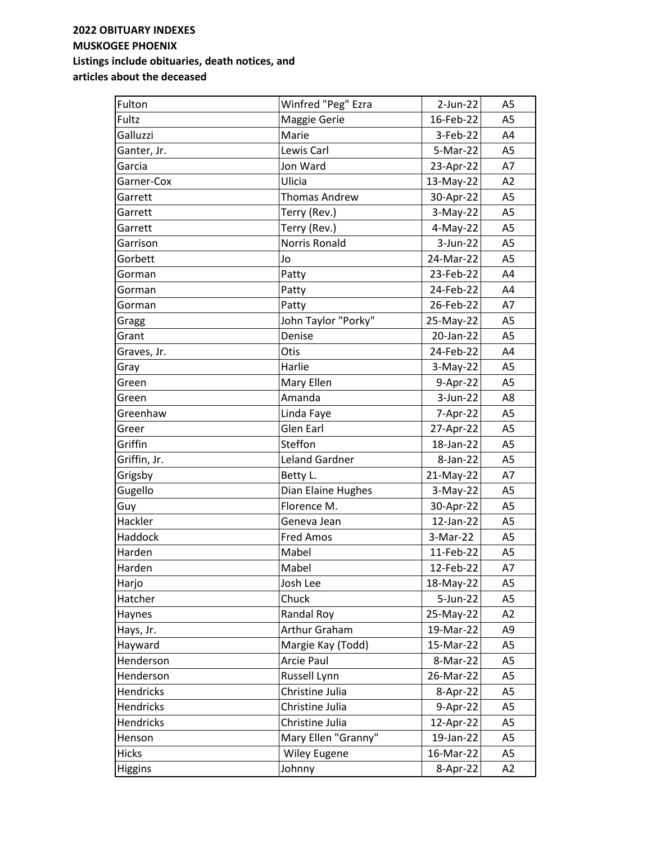| Fulton           | Winfred "Peg" Ezra    | $2$ -Jun-22  | A <sub>5</sub> |
|------------------|-----------------------|--------------|----------------|
| Fultz            | Maggie Gerie          | 16-Feb-22    | A <sub>5</sub> |
| Galluzzi         | Marie                 | 3-Feb-22     | A4             |
| Ganter, Jr.      | Lewis Carl            | 5-Mar-22     | A <sub>5</sub> |
| Garcia           | Jon Ward              | 23-Apr-22    | A7             |
| Garner-Cox       | Ulicia                | 13-May-22    | A2             |
| Garrett          | <b>Thomas Andrew</b>  | 30-Apr-22    | A <sub>5</sub> |
| Garrett          | Terry (Rev.)          | 3-May-22     | A <sub>5</sub> |
| Garrett          | Terry (Rev.)          | $4-May-22$   | A <sub>5</sub> |
| Garrison         | <b>Norris Ronald</b>  | $3-Jun-22$   | A <sub>5</sub> |
| Gorbett          | Jo                    | 24-Mar-22    | A <sub>5</sub> |
| Gorman           | Patty                 | 23-Feb-22    | A4             |
| Gorman           | Patty                 | 24-Feb-22    | A4             |
| Gorman           | Patty                 | 26-Feb-22    | A7             |
| Gragg            | John Taylor "Porky"   | 25-May-22    | A <sub>5</sub> |
| Grant            | Denise                | 20-Jan-22    | A <sub>5</sub> |
| Graves, Jr.      | Otis                  | 24-Feb-22    | A4             |
| Gray             | Harlie                | $3-May-22$   | A <sub>5</sub> |
| Green            | Mary Ellen            | 9-Apr-22     | A <sub>5</sub> |
| Green            | Amanda                | 3-Jun-22     | A8             |
| Greenhaw         | Linda Faye            | 7-Apr-22     | A <sub>5</sub> |
| Greer            | <b>Glen Earl</b>      | 27-Apr-22    | A <sub>5</sub> |
| Griffin          | Steffon               | 18-Jan-22    | A <sub>5</sub> |
| Griffin, Jr.     | <b>Leland Gardner</b> | 8-Jan-22     | A <sub>5</sub> |
| Grigsby          | Betty L.              | 21-May-22    | A7             |
| Gugello          | Dian Elaine Hughes    | $3-May-22$   | A <sub>5</sub> |
| Guy              | Florence M.           | 30-Apr-22    | A <sub>5</sub> |
| Hackler          | Geneva Jean           | $12$ -Jan-22 | A <sub>5</sub> |
| Haddock          | <b>Fred Amos</b>      | 3-Mar-22     | A <sub>5</sub> |
| Harden           | Mabel                 | 11-Feb-22    | A <sub>5</sub> |
| Harden           | Mabel                 | 12-Feb-22    | A7             |
| Harjo            | Josh Lee              | 18-May-22    | A5             |
| Hatcher          | Chuck                 | 5-Jun-22     | A <sub>5</sub> |
| Haynes           | Randal Roy            | 25-May-22    | A2             |
| Hays, Jr.        | Arthur Graham         | 19-Mar-22    | A <sub>9</sub> |
| Hayward          | Margie Kay (Todd)     | 15-Mar-22    | A5             |
| Henderson        | Arcie Paul            | 8-Mar-22     | A5             |
| Henderson        | Russell Lynn          | 26-Mar-22    | A5             |
| Hendricks        | Christine Julia       | 8-Apr-22     | A5             |
| Hendricks        | Christine Julia       | 9-Apr-22     | A5             |
| <b>Hendricks</b> | Christine Julia       | 12-Apr-22    | A5             |
| Henson           | Mary Ellen "Granny"   | 19-Jan-22    | A <sub>5</sub> |
| <b>Hicks</b>     | <b>Wiley Eugene</b>   | 16-Mar-22    | A5             |
| <b>Higgins</b>   | Johnny                | 8-Apr-22     | A2             |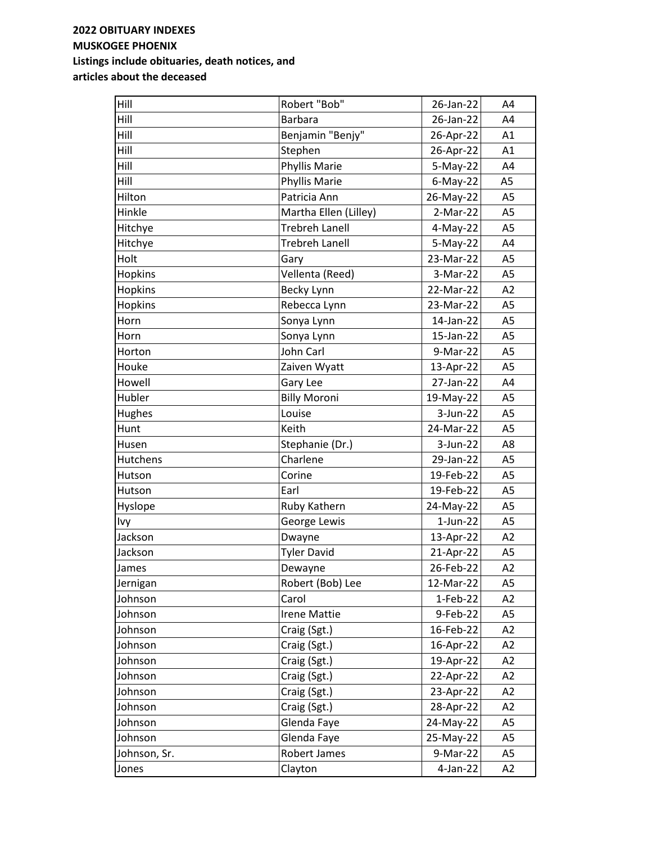| Hill           | Robert "Bob"          | 26-Jan-22   | A4             |
|----------------|-----------------------|-------------|----------------|
| Hill           | <b>Barbara</b>        | 26-Jan-22   | A4             |
| Hill           | Benjamin "Benjy"      | 26-Apr-22   | A1             |
| Hill           | Stephen               | 26-Apr-22   | A1             |
| Hill           | Phyllis Marie         | $5-May-22$  | A4             |
| Hill           | Phyllis Marie         | $6$ -May-22 | A <sub>5</sub> |
| Hilton         | Patricia Ann          | 26-May-22   | A <sub>5</sub> |
| Hinkle         | Martha Ellen (Lilley) | $2-Mar-22$  | A <sub>5</sub> |
| Hitchye        | <b>Trebreh Lanell</b> | $4-May-22$  | A <sub>5</sub> |
| Hitchye        | <b>Trebreh Lanell</b> | $5-May-22$  | A4             |
| Holt           | Gary                  | 23-Mar-22   | A <sub>5</sub> |
| Hopkins        | Vellenta (Reed)       | 3-Mar-22    | A <sub>5</sub> |
| Hopkins        | Becky Lynn            | 22-Mar-22   | A2             |
| <b>Hopkins</b> | Rebecca Lynn          | 23-Mar-22   | A <sub>5</sub> |
| Horn           | Sonya Lynn            | 14-Jan-22   | A <sub>5</sub> |
| Horn           | Sonya Lynn            | 15-Jan-22   | A <sub>5</sub> |
| Horton         | John Carl             | 9-Mar-22    | A <sub>5</sub> |
| Houke          | Zaiven Wyatt          | 13-Apr-22   | A <sub>5</sub> |
| Howell         | Gary Lee              | 27-Jan-22   | A4             |
| Hubler         | <b>Billy Moroni</b>   | 19-May-22   | A <sub>5</sub> |
| Hughes         | Louise                | 3-Jun-22    | A <sub>5</sub> |
| Hunt           | Keith                 | 24-Mar-22   | A <sub>5</sub> |
| Husen          | Stephanie (Dr.)       | 3-Jun-22    | A8             |
| Hutchens       | Charlene              | 29-Jan-22   | A <sub>5</sub> |
| Hutson         | Corine                | 19-Feb-22   | A <sub>5</sub> |
| Hutson         | Earl                  | 19-Feb-22   | A <sub>5</sub> |
| Hyslope        | Ruby Kathern          | 24-May-22   | A <sub>5</sub> |
| Ivy            | George Lewis          | $1$ -Jun-22 | A <sub>5</sub> |
| Jackson        | Dwayne                | 13-Apr-22   | A2             |
| Jackson        | <b>Tyler David</b>    | 21-Apr-22   | A <sub>5</sub> |
| James          | Dewayne               | 26-Feb-22   | A2             |
| Jernigan       | Robert (Bob) Lee      | 12-Mar-22   | A <sub>5</sub> |
| Johnson        | Carol                 | $1-Feb-22$  | A2             |
| Johnson        | <b>Irene Mattie</b>   | 9-Feb-22    | A <sub>5</sub> |
| Johnson        | Craig (Sgt.)          | 16-Feb-22   | A2             |
| Johnson        | Craig (Sgt.)          | 16-Apr-22   | A2             |
| Johnson        | Craig (Sgt.)          | 19-Apr-22   | A2             |
| Johnson        | Craig (Sgt.)          | 22-Apr-22   | A2             |
| Johnson        | Craig (Sgt.)          | 23-Apr-22   | A2             |
| Johnson        | Craig (Sgt.)          | 28-Apr-22   | A2             |
| Johnson        | Glenda Faye           | 24-May-22   | A <sub>5</sub> |
| Johnson        | Glenda Faye           | 25-May-22   | A <sub>5</sub> |
| Johnson, Sr.   | Robert James          | 9-Mar-22    | A <sub>5</sub> |
| Jones          | Clayton               | 4-Jan-22    | A2             |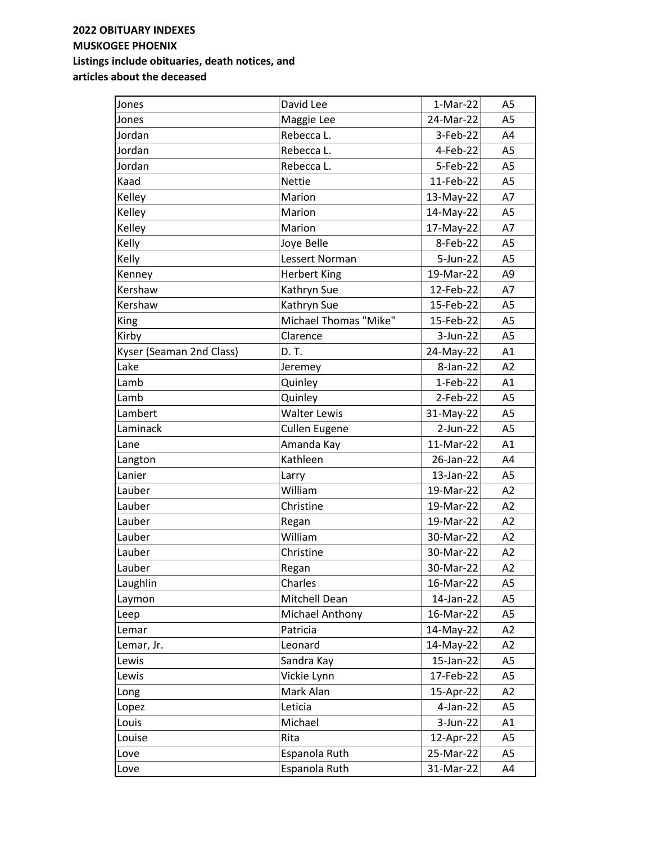| Jones                    | David Lee              | $1-Mar-22$ | A5             |
|--------------------------|------------------------|------------|----------------|
| Jones                    | Maggie Lee             | 24-Mar-22  | A <sub>5</sub> |
| Jordan                   | Rebecca L.             | 3-Feb-22   | A4             |
| Jordan                   | Rebecca L.             | 4-Feb-22   | A <sub>5</sub> |
| Jordan                   | Rebecca L.             | 5-Feb-22   | A <sub>5</sub> |
| Kaad                     | <b>Nettie</b>          | 11-Feb-22  | A <sub>5</sub> |
| Kelley                   | Marion                 | 13-May-22  | A7             |
| Kelley                   | Marion                 | 14-May-22  | A <sub>5</sub> |
| Kelley                   | Marion                 | 17-May-22  | A7             |
| Kelly                    | Joye Belle             | 8-Feb-22   | A <sub>5</sub> |
| Kelly                    | Lessert Norman         | 5-Jun-22   | A <sub>5</sub> |
| Kenney                   | <b>Herbert King</b>    | 19-Mar-22  | A <sub>9</sub> |
| Kershaw                  | Kathryn Sue            | 12-Feb-22  | A7             |
| Kershaw                  | Kathryn Sue            | 15-Feb-22  | A <sub>5</sub> |
| <b>King</b>              | Michael Thomas "Mike"  | 15-Feb-22  | A <sub>5</sub> |
| Kirby                    | Clarence               | $3-Jun-22$ | A <sub>5</sub> |
| Kyser (Seaman 2nd Class) | D. T.                  | 24-May-22  | A1             |
| Lake                     | Jeremey                | 8-Jan-22   | A2             |
| Lamb                     | Quinley                | $1-Feb-22$ | A1             |
| Lamb                     | Quinley                | $2-Feb-22$ | A <sub>5</sub> |
| Lambert                  | <b>Walter Lewis</b>    | 31-May-22  | A <sub>5</sub> |
| Laminack                 | <b>Cullen Eugene</b>   | $2-Jun-22$ | A <sub>5</sub> |
| Lane                     | Amanda Kay             | 11-Mar-22  | A1             |
| Langton                  | Kathleen               | 26-Jan-22  | A4             |
| Lanier                   | Larry                  | 13-Jan-22  | A <sub>5</sub> |
| Lauber                   | William                | 19-Mar-22  | A2             |
| Lauber                   | Christine              | 19-Mar-22  | A2             |
| Lauber                   | Regan                  | 19-Mar-22  | A2             |
| Lauber                   | William                | 30-Mar-22  | A2             |
| Lauber                   | Christine              | 30-Mar-22  | A2             |
| Lauber                   | Regan                  | 30-Mar-22  | A2             |
| Laughlin                 | Charles                | 16-Mar-22  | A5             |
| Laymon                   | Mitchell Dean          | 14-Jan-22  | A <sub>5</sub> |
| Leep                     | <b>Michael Anthony</b> | 16-Mar-22  | A5             |
| Lemar                    | Patricia               | 14-May-22  | A2             |
| Lemar, Jr.               | Leonard                | 14-May-22  | A2             |
| Lewis                    | Sandra Kay             | 15-Jan-22  | A5             |
| Lewis                    | Vickie Lynn            | 17-Feb-22  | A <sub>5</sub> |
| Long                     | Mark Alan              | 15-Apr-22  | A2             |
| Lopez                    | Leticia                | 4-Jan-22   | A5             |
| Louis                    | Michael                | 3-Jun-22   | A1             |
| Louise                   | Rita                   | 12-Apr-22  | A5             |
| Love                     | Espanola Ruth          | 25-Mar-22  | A5             |
| Love                     | Espanola Ruth          | 31-Mar-22  | A4             |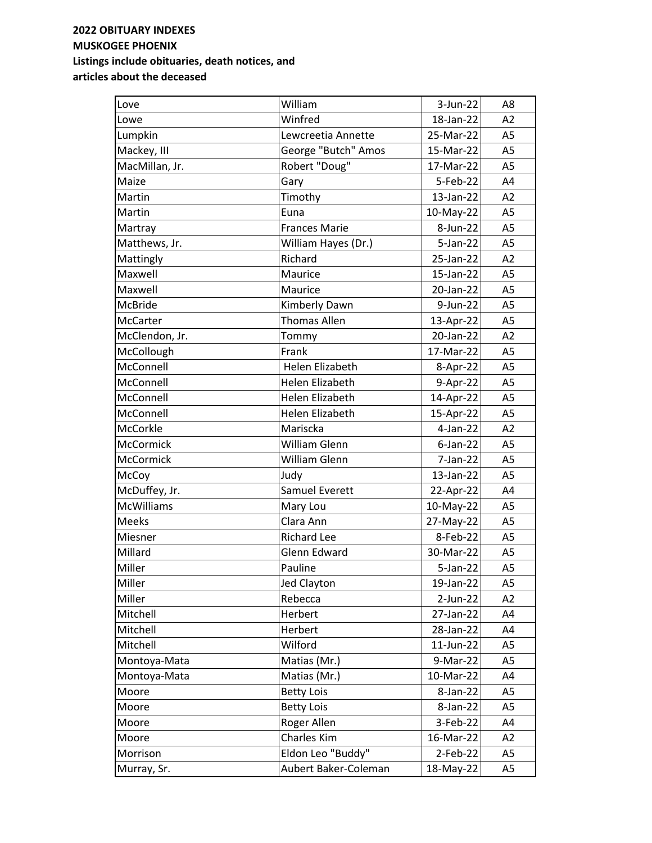| Love              | William              | $3$ -Jun-22 | A8             |
|-------------------|----------------------|-------------|----------------|
| Lowe              | Winfred              | 18-Jan-22   | A2             |
| Lumpkin           | Lewcreetia Annette   | 25-Mar-22   | A <sub>5</sub> |
| Mackey, III       | George "Butch" Amos  | 15-Mar-22   | A <sub>5</sub> |
| MacMillan, Jr.    | Robert "Doug"        | 17-Mar-22   | A <sub>5</sub> |
| Maize             | Gary                 | 5-Feb-22    | A4             |
| Martin            | Timothy              | 13-Jan-22   | A2             |
| Martin            | Euna                 | 10-May-22   | A <sub>5</sub> |
| Martray           | <b>Frances Marie</b> | 8-Jun-22    | A <sub>5</sub> |
| Matthews, Jr.     | William Hayes (Dr.)  | $5$ -Jan-22 | A <sub>5</sub> |
| Mattingly         | Richard              | 25-Jan-22   | A2             |
| Maxwell           | Maurice              | 15-Jan-22   | A <sub>5</sub> |
| Maxwell           | Maurice              | 20-Jan-22   | A <sub>5</sub> |
| McBride           | Kimberly Dawn        | 9-Jun-22    | A <sub>5</sub> |
| <b>McCarter</b>   | <b>Thomas Allen</b>  | 13-Apr-22   | A <sub>5</sub> |
| McClendon, Jr.    | Tommy                | 20-Jan-22   | A2             |
| McCollough        | Frank                | 17-Mar-22   | A <sub>5</sub> |
| McConnell         | Helen Elizabeth      | 8-Apr-22    | A <sub>5</sub> |
| McConnell         | Helen Elizabeth      | 9-Apr-22    | A <sub>5</sub> |
| McConnell         | Helen Elizabeth      | 14-Apr-22   | A <sub>5</sub> |
| McConnell         | Helen Elizabeth      | 15-Apr-22   | A <sub>5</sub> |
| McCorkle          | Mariscka             | $4-Jan-22$  | A2             |
| <b>McCormick</b>  | William Glenn        | $6$ -Jan-22 | A <sub>5</sub> |
| <b>McCormick</b>  | William Glenn        | 7-Jan-22    | A <sub>5</sub> |
| McCoy             | Judy                 | 13-Jan-22   | A <sub>5</sub> |
| McDuffey, Jr.     | Samuel Everett       | 22-Apr-22   | A4             |
| <b>McWilliams</b> | Mary Lou             | 10-May-22   | A <sub>5</sub> |
| <b>Meeks</b>      | Clara Ann            | 27-May-22   | A <sub>5</sub> |
| Miesner           | <b>Richard Lee</b>   | 8-Feb-22    | A <sub>5</sub> |
| Millard           | <b>Glenn Edward</b>  | 30-Mar-22   | A <sub>5</sub> |
| Miller            | Pauline              | $5$ -Jan-22 | A <sub>5</sub> |
| Miller            | <b>Jed Clayton</b>   | 19-Jan-22   | A <sub>5</sub> |
| Miller            | Rebecca              | 2-Jun-22    | A2             |
| Mitchell          | Herbert              | 27-Jan-22   | A4             |
| Mitchell          | Herbert              | 28-Jan-22   | A4             |
| Mitchell          | Wilford              | 11-Jun-22   | A <sub>5</sub> |
| Montoya-Mata      | Matias (Mr.)         | 9-Mar-22    | A <sub>5</sub> |
| Montoya-Mata      | Matias (Mr.)         | 10-Mar-22   | A4             |
| Moore             | <b>Betty Lois</b>    | 8-Jan-22    | A <sub>5</sub> |
| Moore             | <b>Betty Lois</b>    | 8-Jan-22    | A <sub>5</sub> |
| Moore             | Roger Allen          | 3-Feb-22    | A4             |
| Moore             | Charles Kim          | 16-Mar-22   | A2             |
| Morrison          | Eldon Leo "Buddy"    | 2-Feb-22    | A <sub>5</sub> |
| Murray, Sr.       | Aubert Baker-Coleman | 18-May-22   | A <sub>5</sub> |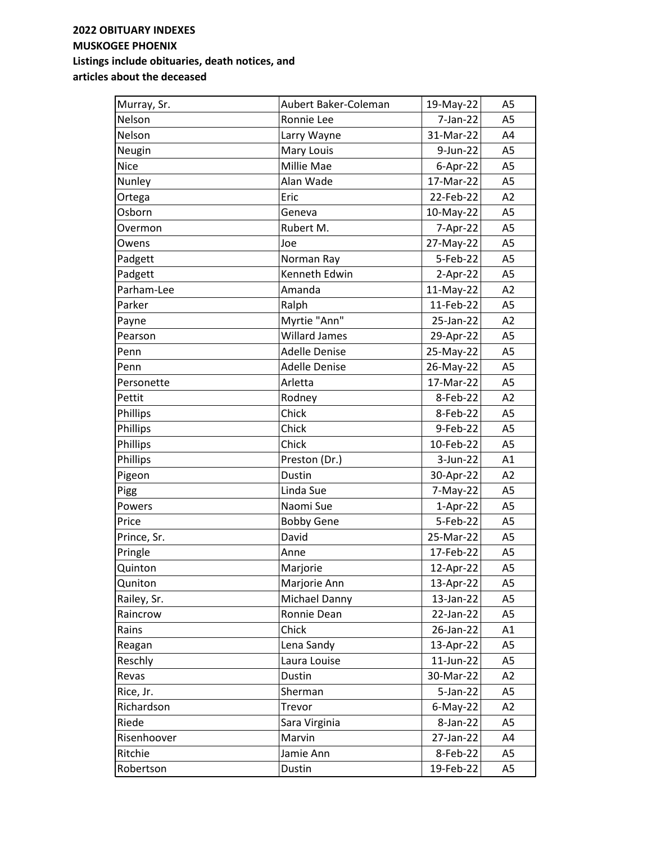| Murray, Sr. | Aubert Baker-Coleman | 19-May-22   | A <sub>5</sub> |
|-------------|----------------------|-------------|----------------|
| Nelson      | Ronnie Lee           | 7-Jan-22    | A <sub>5</sub> |
| Nelson      | Larry Wayne          | 31-Mar-22   | A4             |
| Neugin      | Mary Louis           | 9-Jun-22    | A <sub>5</sub> |
| Nice        | Millie Mae           | $6-Apr-22$  | A <sub>5</sub> |
| Nunley      | Alan Wade            | 17-Mar-22   | A <sub>5</sub> |
| Ortega      | Eric                 | 22-Feb-22   | A2             |
| Osborn      | Geneva               | 10-May-22   | A <sub>5</sub> |
| Overmon     | Rubert M.            | 7-Apr-22    | A <sub>5</sub> |
| Owens       | Joe                  | 27-May-22   | A <sub>5</sub> |
| Padgett     | Norman Ray           | 5-Feb-22    | A <sub>5</sub> |
| Padgett     | Kenneth Edwin        | $2-Apr-22$  | A <sub>5</sub> |
| Parham-Lee  | Amanda               | 11-May-22   | A2             |
| Parker      | Ralph                | 11-Feb-22   | A <sub>5</sub> |
| Payne       | Myrtie "Ann"         | 25-Jan-22   | A2             |
| Pearson     | <b>Willard James</b> | 29-Apr-22   | A <sub>5</sub> |
| Penn        | <b>Adelle Denise</b> | 25-May-22   | A <sub>5</sub> |
| Penn        | <b>Adelle Denise</b> | 26-May-22   | A <sub>5</sub> |
| Personette  | Arletta              | 17-Mar-22   | A <sub>5</sub> |
| Pettit      | Rodney               | 8-Feb-22    | A2             |
| Phillips    | Chick                | 8-Feb-22    | A <sub>5</sub> |
| Phillips    | Chick                | 9-Feb-22    | A <sub>5</sub> |
| Phillips    | Chick                | 10-Feb-22   | A <sub>5</sub> |
| Phillips    | Preston (Dr.)        | $3-Jun-22$  | A1             |
| Pigeon      | Dustin               | 30-Apr-22   | A2             |
| Pigg        | Linda Sue            | $7-May-22$  | A <sub>5</sub> |
| Powers      | Naomi Sue            | $1-Apr-22$  | A <sub>5</sub> |
| Price       | <b>Bobby Gene</b>    | 5-Feb-22    | A <sub>5</sub> |
| Prince, Sr. | David                | 25-Mar-22   | A <sub>5</sub> |
| Pringle     | Anne                 | 17-Feb-22   | A <sub>5</sub> |
| Quinton     | Marjorie             | 12-Apr-22   | A <sub>5</sub> |
| Quniton     | Marjorie Ann         | 13-Apr-22   | A <sub>5</sub> |
| Railey, Sr. | Michael Danny        | 13-Jan-22   | A <sub>5</sub> |
| Raincrow    | Ronnie Dean          | 22-Jan-22   | A <sub>5</sub> |
| Rains       | Chick                | 26-Jan-22   | A1             |
| Reagan      | Lena Sandy           | 13-Apr-22   | A <sub>5</sub> |
| Reschly     | Laura Louise         | 11-Jun-22   | A <sub>5</sub> |
| Revas       | Dustin               | 30-Mar-22   | A2             |
| Rice, Jr.   | Sherman              | $5$ -Jan-22 | A <sub>5</sub> |
| Richardson  | Trevor               | $6$ -May-22 | A2             |
| Riede       | Sara Virginia        | 8-Jan-22    | A <sub>5</sub> |
| Risenhoover | Marvin               | 27-Jan-22   | A4             |
| Ritchie     | Jamie Ann            | 8-Feb-22    | A5             |
| Robertson   | Dustin               | 19-Feb-22   | A5             |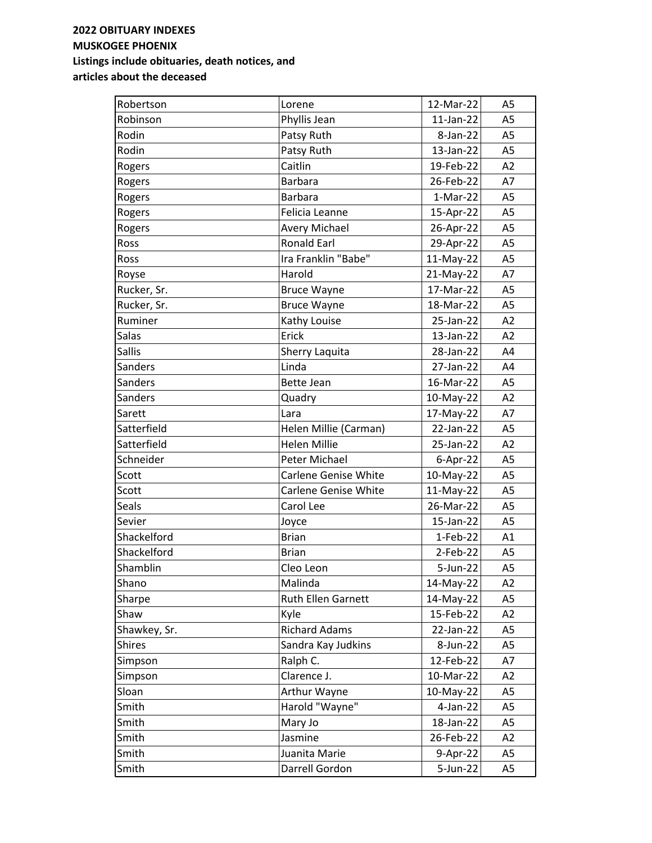| Robertson     | Lorene                      | 12-Mar-22    | A <sub>5</sub> |
|---------------|-----------------------------|--------------|----------------|
| Robinson      | Phyllis Jean                | $11$ -Jan-22 | A <sub>5</sub> |
| Rodin         | Patsy Ruth                  | 8-Jan-22     | A <sub>5</sub> |
| Rodin         | Patsy Ruth                  | 13-Jan-22    | A <sub>5</sub> |
| Rogers        | Caitlin                     | 19-Feb-22    | A2             |
| Rogers        | <b>Barbara</b>              | 26-Feb-22    | A7             |
| Rogers        | <b>Barbara</b>              | $1-Mar-22$   | A <sub>5</sub> |
| Rogers        | Felicia Leanne              | 15-Apr-22    | A <sub>5</sub> |
| Rogers        | <b>Avery Michael</b>        | 26-Apr-22    | A <sub>5</sub> |
| Ross          | <b>Ronald Earl</b>          | 29-Apr-22    | A <sub>5</sub> |
| Ross          | Ira Franklin "Babe"         | 11-May-22    | A <sub>5</sub> |
| Royse         | Harold                      | 21-May-22    | A7             |
| Rucker, Sr.   | <b>Bruce Wayne</b>          | 17-Mar-22    | A <sub>5</sub> |
| Rucker, Sr.   | <b>Bruce Wayne</b>          | 18-Mar-22    | A <sub>5</sub> |
| Ruminer       | Kathy Louise                | 25-Jan-22    | A2             |
| Salas         | Erick                       | 13-Jan-22    | A2             |
| <b>Sallis</b> | Sherry Laquita              | 28-Jan-22    | A4             |
| Sanders       | Linda                       | 27-Jan-22    | A4             |
| Sanders       | Bette Jean                  | 16-Mar-22    | A <sub>5</sub> |
| Sanders       | Quadry                      | 10-May-22    | A2             |
| Sarett        | Lara                        | 17-May-22    | A7             |
| Satterfield   | Helen Millie (Carman)       | 22-Jan-22    | A <sub>5</sub> |
| Satterfield   | <b>Helen Millie</b>         | 25-Jan-22    | A2             |
| Schneider     | Peter Michael               | $6$ -Apr-22  | A <sub>5</sub> |
| Scott         | <b>Carlene Genise White</b> | 10-May-22    | A <sub>5</sub> |
| Scott         | <b>Carlene Genise White</b> | 11-May-22    | A <sub>5</sub> |
| Seals         | Carol Lee                   | 26-Mar-22    | A <sub>5</sub> |
| Sevier        | Joyce                       | 15-Jan-22    | A <sub>5</sub> |
| Shackelford   | <b>Brian</b>                | 1-Feb-22     | A1             |
| Shackelford   | <b>Brian</b>                | $2-Feb-22$   | A <sub>5</sub> |
| Shamblin      | Cleo Leon                   | 5-Jun-22     | A <sub>5</sub> |
| Shano         | Malinda                     | 14-May-22    | A2             |
| Sharpe        | <b>Ruth Ellen Garnett</b>   | 14-May-22    | A5             |
| Shaw          | Kyle                        | 15-Feb-22    | A2             |
| Shawkey, Sr.  | <b>Richard Adams</b>        | 22-Jan-22    | A <sub>5</sub> |
| <b>Shires</b> | Sandra Kay Judkins          | 8-Jun-22     | A5             |
| Simpson       | Ralph C.                    | 12-Feb-22    | A7             |
| Simpson       | Clarence J.                 | 10-Mar-22    | A2             |
| Sloan         | Arthur Wayne                | 10-May-22    | A <sub>5</sub> |
| Smith         | Harold "Wayne"              | 4-Jan-22     | A <sub>5</sub> |
| Smith         | Mary Jo                     | 18-Jan-22    | A5             |
| Smith         | Jasmine                     | 26-Feb-22    | A2             |
| Smith         | Juanita Marie               | 9-Apr-22     | A5             |
| Smith         | Darrell Gordon              | 5-Jun-22     | A5             |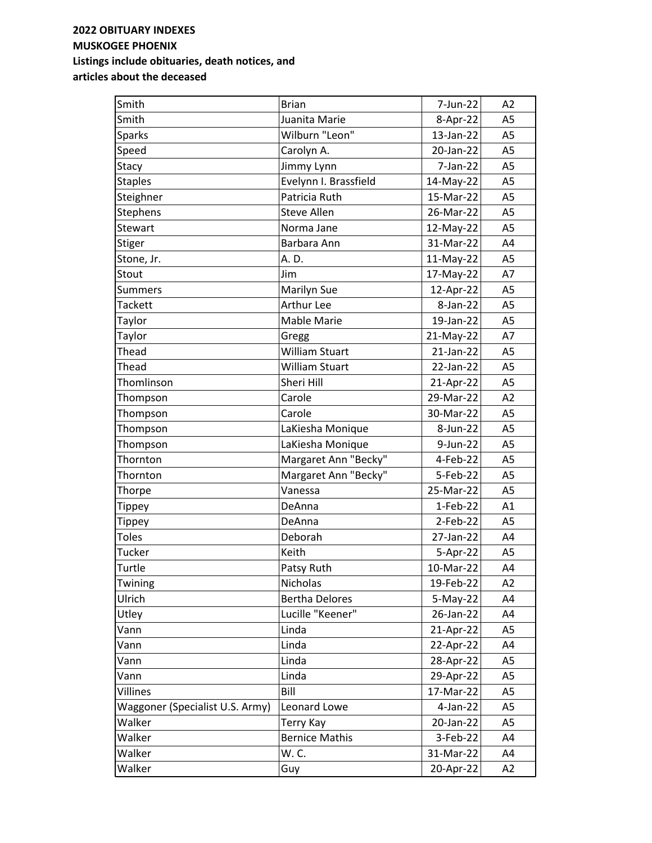| Smith                           | <b>Brian</b>          | 7-Jun-22     | A2             |
|---------------------------------|-----------------------|--------------|----------------|
| Smith                           | Juanita Marie         | 8-Apr-22     | A <sub>5</sub> |
| <b>Sparks</b>                   | Wilburn "Leon"        | $13$ -Jan-22 | A <sub>5</sub> |
| Speed                           | Carolyn A.            | 20-Jan-22    | A <sub>5</sub> |
| Stacy                           | Jimmy Lynn            | 7-Jan-22     | A <sub>5</sub> |
| <b>Staples</b>                  | Evelynn I. Brassfield | 14-May-22    | A <sub>5</sub> |
| Steighner                       | Patricia Ruth         | 15-Mar-22    | A <sub>5</sub> |
| <b>Stephens</b>                 | <b>Steve Allen</b>    | 26-Mar-22    | A <sub>5</sub> |
| Stewart                         | Norma Jane            | 12-May-22    | A <sub>5</sub> |
| <b>Stiger</b>                   | Barbara Ann           | 31-Mar-22    | A4             |
| Stone, Jr.                      | A. D.                 | 11-May-22    | A <sub>5</sub> |
| Stout                           | Jim                   | 17-May-22    | A7             |
| <b>Summers</b>                  | Marilyn Sue           | 12-Apr-22    | A <sub>5</sub> |
| <b>Tackett</b>                  | Arthur Lee            | 8-Jan-22     | A <sub>5</sub> |
| Taylor                          | Mable Marie           | 19-Jan-22    | A <sub>5</sub> |
| Taylor                          | Gregg                 | 21-May-22    | A7             |
| Thead                           | William Stuart        | 21-Jan-22    | A <sub>5</sub> |
| Thead                           | <b>William Stuart</b> | 22-Jan-22    | A <sub>5</sub> |
| Thomlinson                      | Sheri Hill            | 21-Apr-22    | A <sub>5</sub> |
| Thompson                        | Carole                | 29-Mar-22    | A2             |
| Thompson                        | Carole                | 30-Mar-22    | A <sub>5</sub> |
| Thompson                        | LaKiesha Monique      | 8-Jun-22     | A <sub>5</sub> |
| Thompson                        | LaKiesha Monique      | 9-Jun-22     | A <sub>5</sub> |
| Thornton                        | Margaret Ann "Becky"  | 4-Feb-22     | A <sub>5</sub> |
| Thornton                        | Margaret Ann "Becky"  | 5-Feb-22     | A <sub>5</sub> |
| Thorpe                          | Vanessa               | 25-Mar-22    | A <sub>5</sub> |
| <b>Tippey</b>                   | DeAnna                | 1-Feb-22     | A1             |
| <b>Tippey</b>                   | DeAnna                | $2-Feb-22$   | A <sub>5</sub> |
| <b>Toles</b>                    | Deborah               | 27-Jan-22    | A4             |
| Tucker                          | Keith                 | 5-Apr-22     | A <sub>5</sub> |
| Turtle                          | Patsy Ruth            | 10-Mar-22    | A4             |
| Twining                         | Nicholas              | 19-Feb-22    | A2             |
| Ulrich                          | <b>Bertha Delores</b> | $5-May-22$   | A4             |
| Utley                           | Lucille "Keener"      | 26-Jan-22    | A4             |
| Vann                            | Linda                 | 21-Apr-22    | A <sub>5</sub> |
| Vann                            | Linda                 | 22-Apr-22    | A4             |
| Vann                            | Linda                 | 28-Apr-22    | A5             |
| Vann                            | Linda                 | 29-Apr-22    | A <sub>5</sub> |
| Villines                        | Bill                  | 17-Mar-22    | A <sub>5</sub> |
| Waggoner (Specialist U.S. Army) | Leonard Lowe          | 4-Jan-22     | A <sub>5</sub> |
| Walker                          | Terry Kay             | 20-Jan-22    | A <sub>5</sub> |
| Walker                          | <b>Bernice Mathis</b> | 3-Feb-22     | A4             |
| Walker                          | W. C.                 | 31-Mar-22    | A4             |
| Walker                          | Guy                   | 20-Apr-22    | A2             |